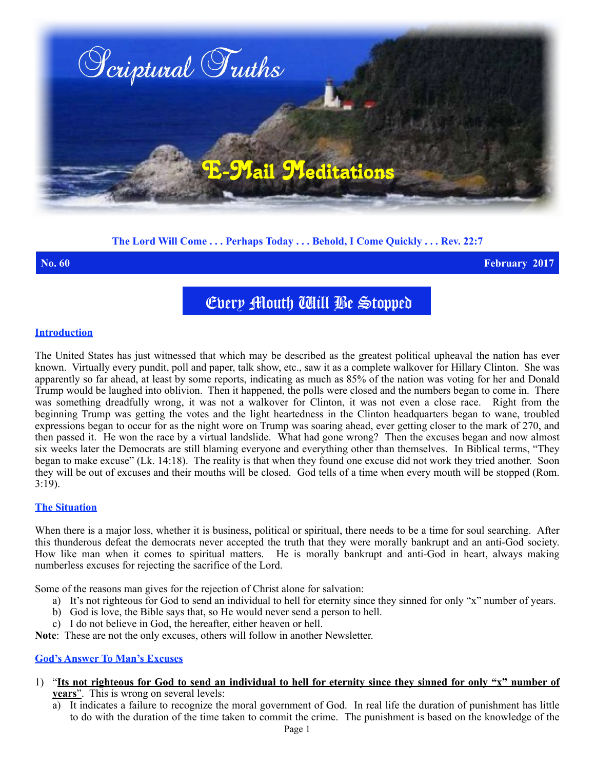

# **The Lord Will Come . . . Perhaps Today . . . Behold, I Come Quickly . . . Rev. 22:7**

**No. 60 February 2017**

Every Mouth Will Be Stopped

## **Introduction**

The United States has just witnessed that which may be described as the greatest political upheaval the nation has ever known. Virtually every pundit, poll and paper, talk show, etc., saw it as a complete walkover for Hillary Clinton. She was apparently so far ahead, at least by some reports, indicating as much as 85% of the nation was voting for her and Donald Trump would be laughed into oblivion. Then it happened, the polls were closed and the numbers began to come in. There was something dreadfully wrong, it was not a walkover for Clinton, it was not even a close race. Right from the beginning Trump was getting the votes and the light heartedness in the Clinton headquarters began to wane, troubled expressions began to occur for as the night wore on Trump was soaring ahead, ever getting closer to the mark of 270, and then passed it. He won the race by a virtual landslide. What had gone wrong? Then the excuses began and now almost six weeks later the Democrats are still blaming everyone and everything other than themselves. In Biblical terms, "They began to make excuse" (Lk. 14:18). The reality is that when they found one excuse did not work they tried another. Soon they will be out of excuses and their mouths will be closed. God tells of a time when every mouth will be stopped (Rom.  $3:19$ ).

# **The Situation**

When there is a major loss, whether it is business, political or spiritual, there needs to be a time for soul searching. After this thunderous defeat the democrats never accepted the truth that they were morally bankrupt and an anti-God society. How like man when it comes to spiritual matters. He is morally bankrupt and anti-God in heart, always making numberless excuses for rejecting the sacrifice of the Lord.

Some of the reasons man gives for the rejection of Christ alone for salvation:

- a) It's not righteous for God to send an individual to hell for eternity since they sinned for only "x" number of years.
- b) God is love, the Bible says that, so He would never send a person to hell.
- c) I do not believe in God, the hereafter, either heaven or hell.

**Note**: These are not the only excuses, others will follow in another Newsletter.

# **God's Answer To Man's Excuses**

- 1) "**Its not righteous for God to send an individual to hell for eternity since they sinned for only "x" number of years**". This is wrong on several levels:
	- a) It indicates a failure to recognize the moral government of God. In real life the duration of punishment has little to do with the duration of the time taken to commit the crime. The punishment is based on the knowledge of the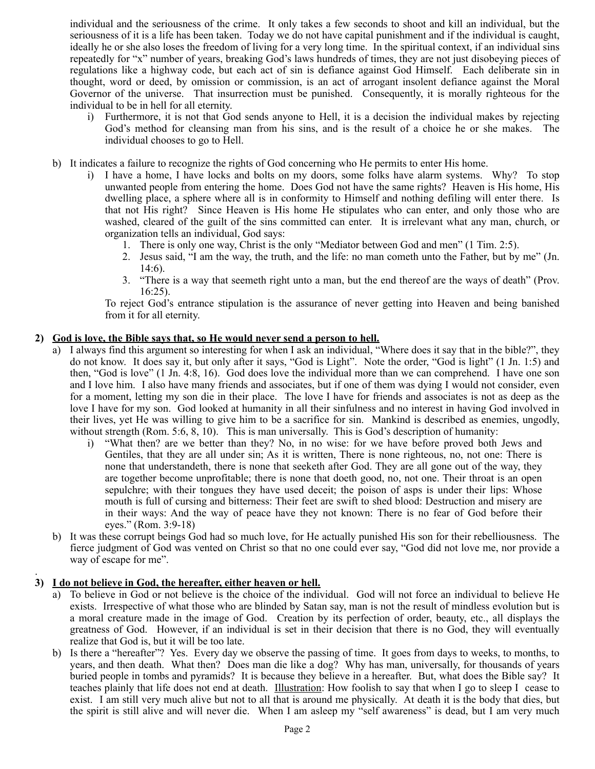individual and the seriousness of the crime. It only takes a few seconds to shoot and kill an individual, but the seriousness of it is a life has been taken. Today we do not have capital punishment and if the individual is caught, ideally he or she also loses the freedom of living for a very long time. In the spiritual context, if an individual sins repeatedly for "x" number of years, breaking God's laws hundreds of times, they are not just disobeying pieces of regulations like a highway code, but each act of sin is defiance against God Himself. Each deliberate sin in thought, word or deed, by omission or commission, is an act of arrogant insolent defiance against the Moral Governor of the universe. That insurrection must be punished. Consequently, it is morally righteous for the individual to be in hell for all eternity.

- i) Furthermore, it is not that God sends anyone to Hell, it is a decision the individual makes by rejecting God's method for cleansing man from his sins, and is the result of a choice he or she makes. The individual chooses to go to Hell.
- b) It indicates a failure to recognize the rights of God concerning who He permits to enter His home.
	- i) I have a home, I have locks and bolts on my doors, some folks have alarm systems. Why? To stop unwanted people from entering the home. Does God not have the same rights? Heaven is His home, His dwelling place, a sphere where all is in conformity to Himself and nothing defiling will enter there. Is that not His right? Since Heaven is His home He stipulates who can enter, and only those who are washed, cleared of the guilt of the sins committed can enter. It is irrelevant what any man, church, or organization tells an individual, God says:
		- 1. There is only one way, Christ is the only "Mediator between God and men" (1 Tim. 2:5).
		- 2. Jesus said, "I am the way, the truth, and the life: no man cometh unto the Father, but by me" (Jn. 14:6).
		- 3. "There is a way that seemeth right unto a man, but the end thereof are the ways of death" (Prov. 16:25).

To reject God's entrance stipulation is the assurance of never getting into Heaven and being banished from it for all eternity.

# **2) God is love, the Bible says that, so He would never send a person to hell.**

- a) I always find this argument so interesting for when I ask an individual, "Where does it say that in the bible?", they do not know. It does say it, but only after it says, "God is Light". Note the order, "God is light" (1 Jn. 1:5) and then, "God is love" (1 Jn. 4:8, 16). God does love the individual more than we can comprehend. I have one son and I love him. I also have many friends and associates, but if one of them was dying I would not consider, even for a moment, letting my son die in their place. The love I have for friends and associates is not as deep as the love I have for my son. God looked at humanity in all their sinfulness and no interest in having God involved in their lives, yet He was willing to give him to be a sacrifice for sin. Mankind is described as enemies, ungodly, without strength (Rom. 5:6, 8, 10). This is man universally. This is God's description of humanity:
	- i) "What then? are we better than they? No, in no wise: for we have before proved both Jews and Gentiles, that they are all under sin; As it is written, There is none righteous, no, not one: There is none that understandeth, there is none that seeketh after God. They are all gone out of the way, they are together become unprofitable; there is none that doeth good, no, not one. Their throat is an open sepulchre; with their tongues they have used deceit; the poison of asps is under their lips: Whose mouth is full of cursing and bitterness: Their feet are swift to shed blood: Destruction and misery are in their ways: And the way of peace have they not known: There is no fear of God before their eyes." (Rom. 3:9-18)
- b) It was these corrupt beings God had so much love, for He actually punished His son for their rebelliousness. The fierce judgment of God was vented on Christ so that no one could ever say, "God did not love me, nor provide a way of escape for me".

### . **3) I do not believe in God, the hereafter, either heaven or hell.**

- a) To believe in God or not believe is the choice of the individual. God will not force an individual to believe He exists. Irrespective of what those who are blinded by Satan say, man is not the result of mindless evolution but is a moral creature made in the image of God. Creation by its perfection of order, beauty, etc., all displays the greatness of God. However, if an individual is set in their decision that there is no God, they will eventually realize that God is, but it will be too late.
- b) Is there a "hereafter"? Yes. Every day we observe the passing of time. It goes from days to weeks, to months, to years, and then death. What then? Does man die like a dog? Why has man, universally, for thousands of years buried people in tombs and pyramids? It is because they believe in a hereafter. But, what does the Bible say? It teaches plainly that life does not end at death. Illustration: How foolish to say that when I go to sleep I cease to exist. I am still very much alive but not to all that is around me physically. At death it is the body that dies, but the spirit is still alive and will never die. When I am asleep my "self awareness" is dead, but I am very much